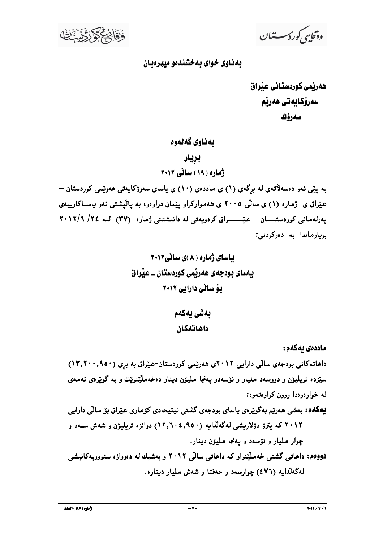وەقايىي كورد سىستىان

#### بهناوی خوای به خشندهو میهرهبان

هەربّمی کوردستانی عیّراق سەرۆكايەتى ھەرپم سەرۆك

بەناوي گەلەوە

### بريار

ژماره ( ۱۹ ) ساٽي ۲۰۱۲

به ییّی ئەو دەسەلاّتەی لە برگەی (۱) ی ماددەی (۱۰) ی پاسای سەرۆکاپەتی ھەریّمی کوردستان — عیّراق ی ژماره (۱) ی سالّی ۲۰۰۵ ی ههموارکراو پیّمان دراوهو، به پالیشتی نهو پاسـاکارییهی یهرلهمانی کوردستسان – عیّسسراق کردویهتی له دانیشتنی ژماره (۳۷) لبه ٢٤/ ٢٠١٢/٦ بريارماندا به دەركردنى:

ماددەي يەكەم :

داهاتهکانی بودجهی سالی دارایی ۲۰۱۲ی ههریمی کوردستان-عیّراق به بری (۹۵۰-۱۳٫۲۰) ستزده تریلیون و دووسهد ملیار و نوسهدو یهنجا ملیون دینار دهخهملیندیت و به گویرهی ئهمهی له خوارهوهدا روون كراوهتهوه: یهکهم: بهشی ههریم بهگویرهی یاسای بودجهی گشتی ئیتیحادی کۆماری عیّراق بوّ سالی دارایی ۲۰۱۲ که پترز دۆلاریشی لهگهلّدایه (۱۲٫۹۰۰٫۹۵۰) دوانزه تریلیوّن و شهش سـهد و چوار مليار و نۆسەد و يەنجا مليۆن دينار. دووهم: داهاتی گشتی خهملیّنراو که داهاتی سالی ۲۰۱۲ و بهشیك له دهروازه سنووریهکانیشی

لهگهلٌدایه (٤٧٦) چوارسهد و حهفتا و شهش ملیار دیناره.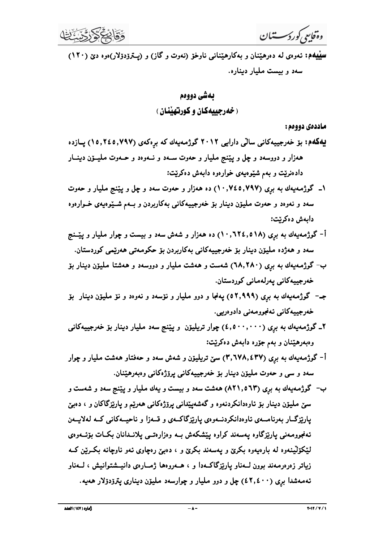وةفاسي كورد سستيان

سپیپهم: نهوهی له دهرهیننان و بهکارهیننانی ناوخو (نهوت و گاز) و (پسترودولار)هوه دی (۱۲۰) سهد و بیست ملیار دیناره.

# ىەشى دووەم <u>( خەرجىيەكان و كورتھننان )</u>

ماددهي دووهم:

- یهکهم: برّ خدرجییهکانی سالّی دارایی ۲۰۱۲ گوژمهیهك كه برِهکهی (۱۵٬۲٤۵٬۷۹۷) پــازده ههزار و دووسهد و چل و پێنج مليار و حهوت سـهد و نـهوهد و حـهوت مليـــۆن دينـــار دادهنریت و بهم شیوهیهی خوارهوه دابهش دهکریت:
- ۱ــ گوژمهیهك به بری (۰٫۷۹۷) ده ههزار و حهوت سهد و چل و یپّنج ملیار و حهوت سهد و نهوهد و حهوت ملیوّن دینار بوّ خهرجییهکانی بهکاربردن و بـهم شــیّوهیهی خــوارهوه دابەش دەكريت:
- أ- گوژمهیهك به برى (١٨٥ه.١٢٤,٥١٨) ده ههزار و شهش سهد و بیست و چوار ملیار و پیّــنج سهد و ههژده مليون دينار يو خەرجيپەكانى بەكارېردن يو حكومەتى هەرپيمى كوردستان.
- ب- گوژمهیهك به برى (٦٨,٢٨٠) شهست و ههشت مليار و دووسهد و ههشتا مليۆن دينار بۆ خەرجييەكانى يەرلەمانى كوردستان.
- جـ– گوژمـهیـهك بـه بری (٥٢,٩٩٩) یـهنجا و دوو مـلیـار و نـۆسـهد و نـهوهد و نـۆ مـليـۆن ديـنـار بـۆ خەرجييەكانى ئەنجوومەنى دادوەريى.
- ۲\_ گوژمهیهك به برى (٤,٥٠٠,٠٠٠) چوار تریلیۆن و ییننج سهد ملیار دینار بۆ خەرجییەكانى وهبهرهیننان و بهم جوره دابهش دهکریت:
- أ- گوژمهیهك به بری (۳٫٦۷۸٫٤۳۷) سنّ تریلیوّن و شهش سهد و حهفتاو ههشت ملیار و چوار سهد و سي و حدوت مليون دينار بو خدرجييهکاني پروژهکاني وهبهرهيننان.
- ب- گوژممهیهك به بری (۸۲۱٬۵٦۳) ههشت سهد و بیست و یهك ملیار و پیننج سهد و شهست و سنی ملیوّن دینار بوّ ناوهدانکردنهوه و گهشهییّدانی پروّژهکانی ههریّم و پاریزگاکان و ، دهبیّ پارێزگ|ر بهرنامــهي ئاوهدانكردنــهوهي پارێزگاكــهي و قــهزا و ناحيــهكاني كــه لـهلايــهن ئەنجوومەنى يارىزگاوە يەسەند كراوە يېشكەش بــە وەزارەتــى يلانــدانان بكــات بۆئــەوەي لیْکۆلینەوه له بارەیەوه بکرێ و یەسەند بکرێ و ، دەبیٌ رەچاوی ئەو ناوچانە بکــرین کــه زیاتر زەرەرمەند بوون لــەناو پارێزگاكــەدا و ، ھــەروەھا ژمــارەی دانيــشتوانيش ، لــەناو تهمهشدا بری (٤٢,٤٠٠) چل و دوو ملیار و چوارسهد ملیوّن دیناری یتروّدوّلار ههیه.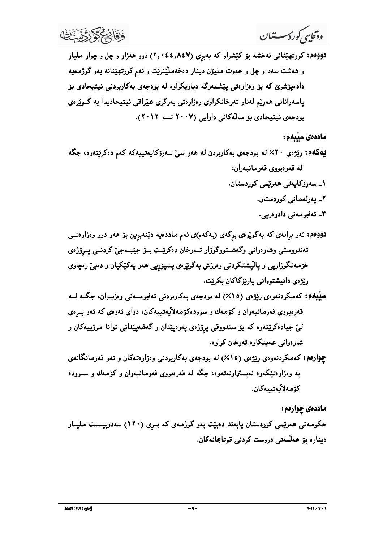و*ه قایعی کورکسستشال*<br>فرقهایعی *کورکسستشال*ی نه خشه بو کینشراو که بهبری (۲۰۰٤٤,۸٤۷) دوو هدار و چل و چوار ملیار<br>در ههشت سده و چل و حدوت ملینزن دینار دهخهمایننریت و نهم کورتهپننانه بهو گوژمهیه<br>دادهپزشری که بو و وزاردتمی پیش و:*ه<sup>ا</sup>لیاسی کورکرسستشال*<br>1999م: کورتمهیتنانی نهخشه بو کنیشرار که بعدبری (۴۰ شده المنینرنیت و نهم کورت<u>مهت</u>نانه بعو گوژمدیه<br>1999م: برای تهرشت سهد و چل ر حدوت ملیتین دینبار ده دهسایندرنیت و نهم کورتمهیتنانه بعو گوژمدیه<br>194

ماددەى سىيەم :

- و هشتت سدد و چل و حدوت ملیوز دینار دهختهدلنندیت و نم کروتهیتانه بدو گرزمین<br>فادوبزشری که بو دوارادش پزشمندان کار داراد استفاده از این دیگری عیراقی نیتیمادیدا به گرزمی<br>بهادهای استفاده از می همه از این است که از این از این ا
- **لهگاهه:** رژودی ۲۰ /۷ له بردجمی بهکاریردن له هغر سیّ سفرزکایتیبهاکه کم داگریکتوبهای جهانگی به کم داگریکتوره بکن<br>۱- سفرزکایتی شرقی بروین قدرمانیموان:<br>۲- سفرزکایتی شرقی بروین کورمنسان.<br>۲- سفرزکایتی شرقی در این ترکیب در اینک ریژوی دانیشتروانی پاریزگاکان بکریّت.<br>س<u>لیل</u>هم: کەمکردنەوی ریژوی (۱۵٪) له بودجەی بەکاربردنی نەنجومـەنی وەزیـران، جگـه لـه<br>قەرەبوری فەرمانبەران و کۆمەك بـ سندورقی پرزژهی پـدرەپیّدان و گەشەپیّدانى تـوانا مرزىيـەکان و<br>لى آرەب
	- لیّ جیادهکریّتعدو که بوّ سندووقی پرِوّژهی پدرهپیّدان و گدشهپیّدانی توانا مروّییمکان و<br>شارهوا: کهمکردندوهی ریّژهی (۱۵٪٪) له بودجدی بهکاربردنی وهژارهتمکان و نهو فهرمانگاندی<br>به وهژارهتهگیره ریّژهی (۱۵٪٪) له بودجدی بهکروری فه

# اددهی چوارهم :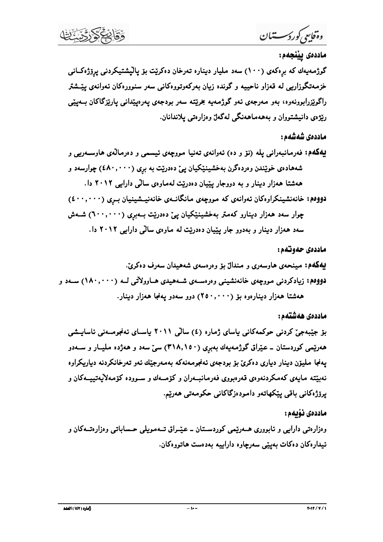ثماره ( ۱٤۷ ) العلد

 $-1$ 

ماددەى نەّىمم:

وهزارهتي دارايي و ئابووري هــــهوريمي كوردســـتان ـــ عـيّـــراق تـــهمويلي حــساباتي وهزارهتـــهكان و ئيدار هکان دهکات بهيٽي سهرچاوه داراييه بهدهست هاتووهکان.

بۆ جیْبەجیْ کردنی حوکمەکانی یاسای ژمارە (٤) سالْی ۲۰۱۱ یاسـای ئەنجومــەنی ئاسايــشی ههرنیمی کوردستان ــ عیّراق گوژمهیهك بهبری (۳۱۸٫۱۵۰) سیّ سهد و ههژده ملیــار و ســهدو پهنجا مليۆن دينار دياري دەكرېّ بۆ بودجەي ئەنجومەنەكە بەمەرجێك ئەو تەرخانكردنە دياريكراوە نهبینته مایهی کهمکردنهوهی قهرهبووی فهرمانبـهران و کۆمــهك و ســووده کۆمـهلایـهتییــهکان و برۆژەكانى باقى يېكھاتەو دامودەزگاكانى حكومەتى ھەرىيە.

دووهم: زیادکردنی مووچهی خانهنشینی وهرهسـهی شـههیدی هـاوولاتی لــه (۱۸۰٬۰۰۰) ســهد و ههشتا ههزار دینارهوه بۆ (۲۵۰٬۰۰۰) دوو سهدو یهنجا ههزار دینار. ماددەى ھەشتەم:

پهکهم: مینحدی هاوسهری و مندال بو وهرهسدی شههیدان سهرف دهکریّ.

شههادهی خوینندن وهردهگرن بهخشینیکیان یئ دهدریت به بری (٤٨٠,٠٠٠) چوارسهد و ههشتا ههزار دینار و به دووجار یییان دهدریت لهماوهی سالی دارایی ۲۰۱۲ دا. دووهم: خانەنشينكراوهكان ئەوانەي كە مووچەي مانگانىەي خانەنيىشينيان بىرى (٤٠٠,٠٠٠) چوار سهد ههزار دینارو کهمتر بهخشینێکیان یئ دهدرێت بـهبری (٦٠٠,٠٠٠) شـهش سهد ههزار دینار و بهدوو جار پیّیان دهدریّت له ماوهی سالّی دارایی ۲۰۱۲ دا.

پهکهم: فهرمانبهراني يله (نۆ و ده) ئەوانەي تەنيا مووچەي ئيسمى و دەرمالەي ھاوسـەرىي و

گوژمەيەك كە برەكەي (١٠٠) سەد مليار دينارە تەرخان دەكريت بۆ پالپشتيكردنى پرۆژەكـانى خزمهتگوزاریی له قهزاو ناحییه و گونده زبان بهرکهوتووهکانی سهر سنوورهکان ئهوانهی پیششتر راگویزرابوونەوە، بەو مەرجەي ئەو گوژمەيە بخریتتە سەر بودجەي يەرەيپندانى ياریزگاكان بــەيپْي رنژهی دانیشتووان و بهههماههنگی لهگهل وهزارهتی یلاندانان.

وةفايعي كوردسستنان

ماددەى يێنجەم:

ماددەى شەشەم :

ماددەي حەوتەم: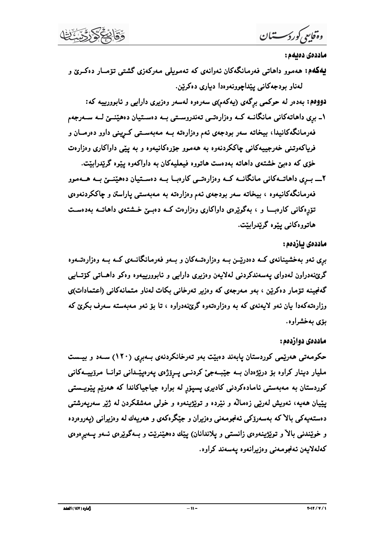وەقايىي كورد كەستىان

ماددەى دەبەم :

پهکهم: ههموو داهاتی فهرمانگهکان نهوانهی که تهمویلی مهرکهزی گشتی تۆمبار دهکری و لهناو بودجهکانې پيداچوونهوهدا ديارې دهکريين.

دووهم: بهدهر له حوکمی برگهی (پهکهم)ی سهرهوه لهسهر وهزیری دارایی و ئابوورییه که: ۱ـ بري داهاتهکاني مانگانــه کــه وهزارهتــي تـهندروســتي بــه دهســتيان دههێنــێ لــه ســهرجهم فهرمانگهکانیدا، بیخاته سهر بودجهی ئهم وهزارهته بــه مـهبهســتـی کــریـنی داوو دهرمــان و فریاکهوتنی خهرجییهکانی چاککردنهوه به ههموو جۆرهکانیهوه و به پێی داواکاری وهزارهت خۆی که دهبین خشتهی داهاته بهدهست هاتووه فیعلیهکان به داواکهوه پیوه گریدرابینت.

۲\_ بــری داهاتـــهکانی مانگانـــه کــه وهزارهتـــی کارهبـــا بـــه دهســـتیان دههیننــــین بـــه هـــهموو فهرمانگهکانیهوه ، بیخاته سهر بودجهی ئهم وهزارهته به مهبهستی پاراستن و چاککردنهوهی تۆرەكانى كارەبــا و ، بەگويرەي داواكارى وەزارەت كــە دەبــێ خــشتەي داھاتــە بەدەسـت هاتووه کانې پيډه گريدراييت.

#### ماددەى ئازدەم :

بری ئەو بەخشینانەی کــه دەدرپّــن بــه وەزارەتـــەکان و بــهو فەرمـانگانــەی کــه بــه وەزارەتـــەوە گرێنهدراون لهدواي پهسهندکردني لهلايهن وهزيري دارايي و ئابوورييهوه وهکو داهـاتي کۆتــايي گەنجینه تۆمار دەكرین ، بەو مەرجەي كە وەزیر تەرخانى بكات لەناو متمانەكانى (اعتمادات)ى وزارهتهکهدا بیان ئمو لایمنمی که به وهزارهتموه گرێنهدراوه ، تا بۆ ئمو مـهبـهستـه سـهرف بکرێ که بۆي بەخشراوە.

#### ماددهي دوازدهم:

حکومهتی ههریمی کوردستان یابهند دهبیت بهو تهرخانکردنهی بـهبری (۱۲۰) سـهد و بیـست ملیار دینار کراوه بۆ دریژهدان بــه جیبــهجی کردنــی پــرۆژهی پـهرهپیّــدانی توانــا مرۆپیــهکانی کوردستان به مەبەستى ئامادەكردنى كاديرى پسپۆر لە بوارە جياجياكاندا كە ھەرپم يێويــستى يێيان هەيە، ئەويش لەرىپى زەمالە و نێردە و توێژىينەوە و خولى مەشقكردن لە ژێر سەريەرشتى دهستهیهکی بالاکه بهسهروکی نهنجومهنی وهزیران و جیکگرهکهی و ههریهك له وهزیرانی (یهروهرده و خوینندنی بالا و تویژینهوهی زانستی و یلاندانان) ییّك دههپنریت و بـهگویرهی ئـهو پـهیرهوهی كەلەلايەن ئەنجومەنى وەزيرانەوە يەسەند كراوە.

أماره ( ١٤٧ ) العلد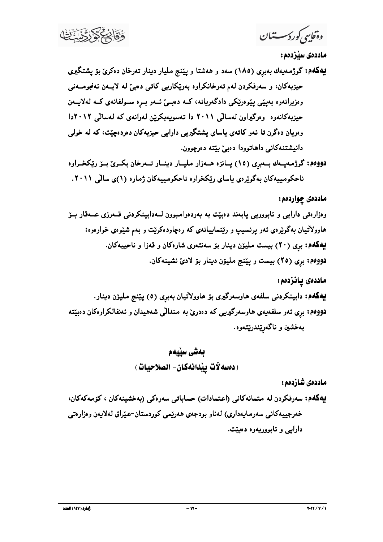وةفايعي كوردسستنان

ماددەي سٽزدەم :

دووهم: گوژمهیـهك بـهبرِي (١٥) پـانزه هـهزار ملیـار دینـار تـهرخان بكـريّ بــوّ ريّكخـراوه ناحکومییهکان بهگویرهی یاسای ریکخراوه ناحکومییهکان ژماره (۱)ی سالی ۲۰۱۱.

ماددهي چواردهم:

وهزارهتي دارايي و نابووريي پابهند دهبيّت به بهردهوامبوون لـهدابينكردني قــهرزي عــهقار بــۆ هاوولاتیان بهگویرهی ئهو پرنسیپ و ریننماییانهی که رهچاودهکریت و بهم شیوهی خوارهوه: پهکهم: برِی (٢٠) بیست ملیوّن دینار بوّ سهنتهری شارهکان و قهزا و ناحییهکان. دووهم: بری (٢٥) بیست و پیّنج ملیوّن دینار بوّ لادیّ نشینهکان.

ماددەى يانزدەم: **بیهکهم:** دابینکردنی سلفهی هاوسهرگیری بۆ هاوولاتیان بهبری (٥) پیننج ملیوّن دینار. دووهم: بری ئهو سلفهیمی هاوسهرگیریی که دهدری به مندالی شههیدان و ئهنفالکراوهکان دهبیتته بەخشىن و ناگەرتىندرتيتەوە.

ماددەي شازدەم :

بهکهم: سەرفکردن لە متمانەکانى (اعتمادات) حساباتى سەرەکى (بەخشينەکان ، كۆمەكەكان، خەرجييەكانى سەرمايەدارى) لەناو بودجەي ھەرێمى كوردستان-عێراق لەلايەن وەزارەتى دارایي و ناپووریهوه دهيئت.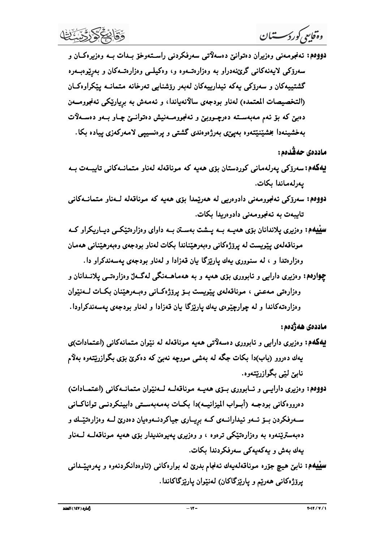وەقاسى كورد سىستىان

دووهم: ئەنجومەنى وەزىران دەتوانىئ دەسەلاتى سەرفكردنى راسىتەوخۆ بىدات بــە وەزىرەكــان و سەرۆكى لايەنەكانى گرێنەدراو بە وەزارەتــەوە و، وەكيلــى وەزارەتــەكان و بەرێوەبــەرە گشتيپيەكان و سەرۆكى يەكە ئېدارىييەكان لەبەر رۆشنايى تەرخانە متمانــە يێكراوەكــان (التخصيصات المعتمده) لهناو بودجهي سالانهياندا، و ئهمهش به برياريْكي ئهنجوومــهن دهبن که بو نهم مهبهسته دهرچووبین و نهنجوومـهنیش دهتوانـــین چـاو بــهو دهســهلات بهخشینهدا بخشیننیتنموه بهیپیی بهرژهوهندی گشتی و پرهنسیییی لامهرکهزی پیاده بکا.

ماددەى جەقدەم:

- پهکهم:سەرۆکى پەرلەمانى كوردستان بۆي ھەيە كە موناقەلە لەناو متمانىەكانى تايبىەت بىە يەرلەماندا بكات.
- دووەم: سەرۆكى ئەنجورمەنى دادوەريى لە ھەرپىدا بۆي ھەيە كە موناقەلە لـەنار متمانــەكانى تايبەت بە ئەنجوومەنى دادوەريدا بكات.
- سپیههم: وهزیری پلاندانان بۆی هەپــه بــه پــشت بـهســتن بــه داوای وهزارهتیکــی دیــاریکراو کــه موناقەلەي يێويست لە پرۆژەكانى وەبەرھێناندا بكات لەناو بودجەي وەبەرھێنانى ھەمان وهزارهتدا و ، له سنووري يهك ياريزگا يان قهزادا و لهناو بودجهي يهسهندكراو دا.
- چوارهم: وهزیری دارایی و نابووری بۆی هەیه و به هەماهــهنگی لەگــەلٌ وهزارەتــی یلانــدانان و وەزارەتى مەعنى ، موناقەلەي پێويست بىۆ پرۆژەكانى وەبەرھێنان بكات لـەنێوان وهزارهتهکاندا و له چوارچیوهی یهك پاریزگا بان قهزادا و لهناو بودجهی یهسهندكراودا.

ماددەى ھەژدەم :

- بیهکهم: وهزیری دارایی و ئابووری دهسهلاتی همیه موناقهله له نیوان متمانهکانی (اعتمادات)ی یهك دهروو (باب)دا بكات جگه له بهشي مووچه نهبیّ كه دهكریّ بۆی بگوازریّتهوه بهلاّم نابے لیے بگوازریتەوە.
- دووهم: رهزیری دارایی و ئابووری بازی ههیم موناقهلم للهنیوان متماناهکانی (اعتمادات) دەرووەكانى بودجـه (أبــواب الميزانيـــه)دا بكــات بەمـەبـەســتى دابينكردنــى تواناكــانى ســهرفکردن بـــۆ ئــهو ئيدارانـــهي کــه بريـــاري جياکردنـــهوهيان دهدريّ لـــه وهزارهتێــك و دهبهستریننهوه به وهزارهتینکی ترهوه ، و وهزیری یهیوهندیدار بۆی ههیه موناقهلــه لــهناو يەك بەش و يەكەيەكى سەرفكردندا بكات.
- سیپیهم: نابین هیچ جوّره موناقهلهیهك ئـهنجام بدریّ لـه بوارهکانـی (ئـاوهدانکردنـهوه و یـهرهیپیّــدانـی يرۆژەكانى ھەرپم و ياريزگاكان) لەنپوان ياريزگاكاندا.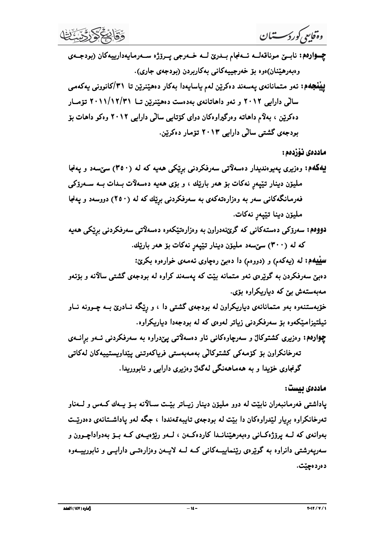گونجاوي خۆيدا و به هەماهەنگى لەگەل وەزىرى دارايى و ئابوورىدا . اددەى بېست: خزیدستندو، بدو متماناندی دیاریکرارن له بودجدی گفتی دا ، و رپکه نــادری بــه چــورنه نــاو<br>نیـلتیزامیـِکمو، بـز ســدوکـردنی زیـاتر لــدوی که لـه بـردجدا دیاریکرارد.<br>چوارهم: و دریری کشتـوکال ر ســدرچارهکنی تار دهســلاتــی پ

تەرخانكراون بۆ كۆمەكى كشتوكالى بەمەبەستى فرياكەوتنى يېداويستييەكان لەكاتى

سپیپهم: له (پهکهم) و (دووهم) دا دهبین رهچاوی ئهمهی خوارهوه بکرین: دهبین سهرفکردن به گویرهی نهو متمانه بینت که یهسهند کراوه له بودجهی گشتی سالانه و بۆنەو دهیوده: سه ملیزن دینا تبیع ز مکات.<br>دووده: سهروکی دهستهکانی که گریزندوران به و دواردتیکدوه دهسه لآتی.<br>سلیه دین از ۲۰۰۹) سرسده هلیزن دینار تبیع نه ملی کات بو هد باری ا.<br>سلیه دینار کرد از ۲۰۰۹) و دوردم) دا دوس دوستهای که می چوارهم: وهزیری کشتوکال و سهرچاوهکانی ئاو دهسهلاتی یئدراوه به سهرفکردنی ئـهو برانــهی

ماددەي ئۆزدەم : **لینفجهه :** نمو متماناندی پهسهند دهکرین لهم یاسایدوا بهکار دهتینریّن تا ۳۱/کانوونی یهکعمی<br>سالی دارایی ۲۰۱۲ و تمو داهاتاندی بددست دهیّنریّن تا ۳۰۱۱/۱۳/۳۱ تومار<br>ماددهیْ نوْزدهم:<br>**بهکهه:** وهزیری پدیرهندیدار دهسهلاّتی سهرفکرد دووهم: سەرۆكى دەستەكانى كە گرێنەدراون بە وەزارەتێكەوە دەسەلاتى سەرفكردنى برێكى ھەيە

که له (۳۰۰) سێسهد مليوّن دينار تێپهږ نهکات بوّ ههر باريّك.

و*قتایی کورکرسستتمال*<br>چــاوادیم: نابسین مـوناقـدلــه نــهـنجام بــــدرئ لـــه خــــدرجی پـــروژه ســــدومایــداداریبــه کـان (بروجــــمـی<br>وبامبرهیم: نــاو، مــــو بــــاو، خـــدوم بــاو، ابراه ایــاو دهــدومایـــاو، ابراه چــوارهم: نابــێ موناقهلــه ئــهنجام بــدرێ لــه خــهرجى پــرۆژه ســهرمايهدارييهكان (بودجــهى وەبەرھێنان)ەوە بۆ خەرجييەكانى بەكارېردن (بودجەي جارى). **بیپنجهم:** ئەو متمانانەي پەسەند دەكرینن لەم ياسايەدا بەكار دەھینىرینن تا ٣١/كانوونى يەكەمى #'&CKSTPPQPSQOP'KL?",>?!@)%U()% 4= 9K@\$%A 7ASTPS."\$#\$%.R1( C4Z@\$%:)ASTPS."\$#\$%.R1(."KC=\$A%)A\$VW#)A K@\$%5X 4YL?",)% DL?",)%#&CKSTPO."\$#\$%.R1([\W= /%:4 -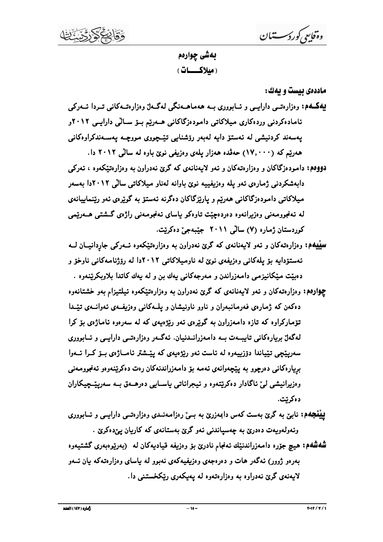بەشى چوارەم <u>(مىلاكـــات)</u>

ماددهی بیست و یهك:

و*ەگایعی کورکرسستنان*<br>اماددەی بییست و بیەك:<br>اماددەی بییست و بیەك:<br>'' ماددەی بیست و دارايــی و ئــابووری بــه هەماهـ<br>نامادەكردنى وردەكارى مـيلاكاتـی دامـودەز<br>هەرتيم كه (٧,٠٠٠) حەقدە هەزار پـلەی و هو**وەم:** دامـودەزگاكان و و یهکــهم: وهزارهتــی دارایــی و ئــابووری بــه هـهماهــهنگی لهگــهلٌ وهزارهتــهکانی تــردا ئـــهرکی ئامادەكردنى وردەكارى ميلاكاتى دامودەزگاكانى ھـەرپم بــۆ ســالى دارايــى ٢٠١٢و بهسەند كردنيشى له ئەستۆ دايە لەبەر رۆشنايى تێچووى مووچـه يەسـەندكراوەكانى ههریم که (۱۷٫۰۰۰) حهڤده ههزار یلهی وهزیفی نویّ باوه له سالی ۲۰۱۲ دا.

- دووهم: دامودهزگاکان و وهزارهتهکان و ئمو لایهنانمی که گرێ نهدراون به وهزارهتێکەوه ، ئەرکى دابهشکردنی ژمارەی ئەو يلە وەزيفييە نوێ باوانە لەناو ميلاکاتی سالٽی ۲۰۱۲دا بەسەر میلاکاتی دامودهزگاکانی هەرپیم و پاریزگاکان دەگرنه ئەستۆ بە گویرەی ئەو رینماییانەی له ئەنجوومەنى وەزىرانەوە دەردەچيىت تاوەكو بياساي ئەنجومەنى راژەي گىشتى ھــەرىيمى كوردستان ژماره (۷) سالي ۲۰۱۱ جيّبهجيّ دهكريّت.
- **سینیپه**م: وهزارهتهکان و ئـهو لایبهنانـهی کـه گرین نـهدراون بـه وهزارهتینکـهوه ئـــهرکـی جاردانـیــان لـــه ئەستۆداپە بۆ يلەكانى وەزيفەي نوێ لە ناوميلاكاتى ٢٠١٢دا لە رۆژنامەكانى ناوخۆ و دهيّت ميّكانيزمي دامەزراندن و مەرجەكانى بەك بن و له يەك كاتدا بلاوبكريّنەوه .
- چ**واردم:** وهزارهتهکان و ئـهو لايـهنانـهى کـه گرێ نـهدراون بـه وهزارهتێکموه ئـيلتـيزام بـهو خشتـانـهوه دهکهن که ژمارهی فهرمانبهران و ناوو ناونیشان و پلمکانی وهزیفمی ئموانسهی تیندا تۆماركراوه كه تازه دامەزراون به گويرهي ئەو رېژەبپەي كە لە سەرەوە ئاماژەي بۆ كرا لهگهلٌ بریارهکانی تایبــهت بــه دامـهزرانــدنیان. ئـهگــهر وهزارهتــی دارایــی و ئــابووری سەريپنچى تېياندا دۆزىييەوە لە ئاست ئەو رېژەيەي كە يېنىشتر ئامــاژەي بــۆ كــرا ئـــەوا بريارهکاني دهرچوو به پيچهوانهي ئهمه بۆ دامهزراندنهکان رهت دهکريننهوهو ئهنجوومەنى وهزیرانیشی لی ناگادار دهکریتنموه و نیجراناتی باسـایی دهرهـمق بـه سهریینــچیکاران دەكرتت.
- **بیبنجهم:** نابین به گرین بهست کهس دابمهزریٰ به بــی رهزامـهنــدی وهزارهتــی دارایـــی و ئـــابووری وئهولهويهت دهدريّ به چهسياندني ئهو گريّ بهستانهي كه كاريان يېدهكريّ .
- **شهشهم:** هیچ جۆره دامەزراندنی٘ك ئـەنجام نادرێ بۆ وەزیفـه قیادیـهكان لـه (بـەریوەبـەرى گشتیـهوه بهرهو ژوور) ئهگەر هات و دەرەجەي وەزىفيەكەي نەبوو لە ياساي وەزارەتەكە يان ئــەو لایهنهی گرێ نهدراوه به وهزارهتهوه له پهپکهری ریکخستنی دا.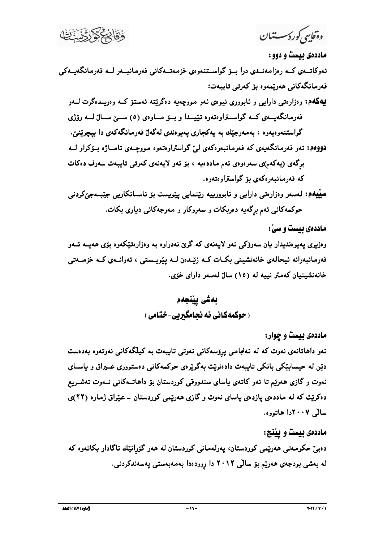وەقايىي كوردىسستان

ماددەي ئىست و دوو :

ئەوكاتــەي كــە رەزامەنــدى درا بــۆ گواســتنەوەي خزمـەتــەكانى فەرمـانبــەر لــە فەرمـانگەيــەكى فەرمانگەكانى ھەربىمەوە بۆ كەرتى تايبەت:

بیهکمه: وهزارهتي دارايي و نابووري نيوهي ئهو مووچهيه دهگريته ئهستۆ کــه وهږيــدهگرت لـــهو فهرمانگهیــهی کــه گواســتراوهتهوه تێیـــدا و بـــۆ مـــاوهی (٥) ســـێ ســـالٌ لـــه روّژی گواستنهوهیهوه ، بهمهرجێك به یهكجاری یهیوهندی لهگهلٌ فهرمانگهكهی دا بیچریننیْ.

دووهم: ئەر فەرمانگەيەي كە فەرمانبەرەكەي لىّ گواستراوەتەوە مووچـەي ئامــاژە بـۆكراو لــە برگەی (پەكەم)ى سەرەوەي ئەم ماددەيە ، بۆ ئەو لايەنەي كەرتى تايبەت سەرف دەكات که فهرمانبهرهکهی بۆ گواستراوهتهوه.

**سیبیهم: ل**هسهر وهزارهتی دارایی و نابوورییه رینمایی پیویست بو ناســانکاریی جیّبــهجیٌکردنی حوکمهکانی ئهم برِگهیه دهربکات و سهروکار و مهرجهکانی دیاری بکات.

ماددهی بیست و سیْ:

وهزیری پهیوهندیدار بیان سهرۆکی ئهو لایهنهی که گرێ نهدراوه به وهزارهتیکموه بۆی ههیــه ئــهو فەرمانبەرانە ئيحالەي خانەنشيني بكـات كــە زێـدەن لــە يێويــستى ، ئەوانــەي كــە خزمــەتى خانەنشينيان كەمتر نييە لە (١٥) سالٌ لەسەر داواي خۆي.

> بەشى يێنجەم ( حوکمهکانی نه نحامگیری-ختامی)

> > ماددهی بیست و چوار:

ئەو داھاتانەي نەوت كە لە ئەنجامىي پ<sub>ې</sub>ۆسەكانى نەوتى تايبەت بە كيلگەكانى نەوتەوە بەدەست دنین له حیسابینکی بانکی تایبهت دادهنریت بهگویرهی حوکمهکانی دهستووری عـیراق و یاسـای نهوت و گازی ههریم تا نهو کاتهی باسای سندووقی کوردستان بۆ داهاتــهکانی نــهوت تـهشــریع دهکریت که له ماددهی یازدهی باسای نهوت و گازی ههریمی کوردستان ــ عیراق ژماره (۲۲)ی سالى ٢٠٠٧دا هاتووه.

ماددهی بیست و بیننج: دەبىن حكومەتى ھەرىيمى كوردستان، يەرلەمانى كوردستان لە ھەر گۆرانپىك ئاگادار بكاتەوە كە له بهشی بودجهی ههریم بوّ سالی ۲۰۱۲ دا روودهدا بهمهبهستی پهسهندکردنی.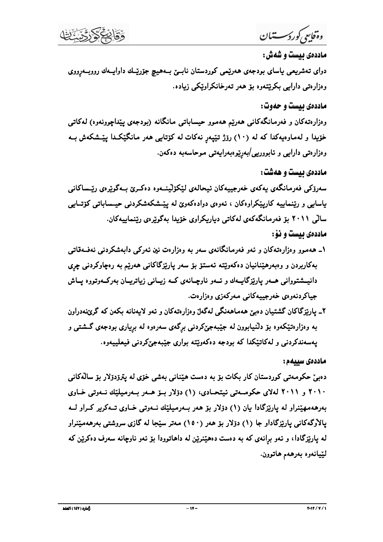وةفايعي كورد سستان

ماددهي بيست و شهش :

دوای تهشریعی یاسای بودجهی ههریمی کوردستان نابسی بههیچ جوّریاك داوایـهك رووبــهرووی وەزارەتى دارايى بكريتتەوە بۆ ھەر تەرخانكراويكى زيادە.

ماددهی بیست و حدوت:

وهزارهتهکان و فهرمانگهکانی ههریم ههموو حیساباتی مانگانه (بودجهی پیداچوونهوه) لهکاتی خۆيدا و لەماوەيەكدا كە لە (١٠) رۆژ تێيەر نەكات لە كۆتايى ھەر مانگێكدا يێـشكەش بـە وەزارەتى دارايى و ئابوورىيى/بەرێوەبەرايەتى موحاسەبە دەكەن.

ماددهی بیست و ههشت:

سەرۆكى فەرمانگەي يەكەي خەرجييەكان ئېجالەي لێكۆلێنـەوە دەكـرێ بـەگوێرەي رێـساكانى پاسایی و ریننماییه کارپیکراوهکان ، ئەوەی دوادەکەوێ لە پیّـشکەشکردنی حیــساباتی کۆتــایی سالى ٢٠١١ بۆ فەرمانگەكەي لەكاتى دياريكراوي خۆيدا بەگويرەي رينماييەكان. ماددهي بيست و نؤ :

- ۱ـ ههموو وهزارهتهکان و ئهو فهرمانگانهی سهر به وهزارهت نین ئهرکی دابهشکردنی نهفـهقاتی بهکاربردن و وهبهرهیننانیان دهکهویتنه نهستو بو سهر یاریزگاکانی ههریم به رهچاوکردنی چری دانیــشتووانی هــهر پارێزگایــهك و ئــهو ناوچــانهی كــه زیــانی زیاتریــان بهركــهوتووه يــاش جياکردنهوهي خهرجييهکاني مهرکهزي وهزارهت.
- ۲ـ يارنيزگاکان گشتيان دەبىێ ھەماھەنگى لەگەلٌ وەزارەتەکان و ئەو لايەنانە بكەن كە گرێنەدراون به وهزارهتینکموه بو دلنیابوون له جیبهجینکردنی برگهی سهرهوه له بریاری بودجهی گــشتـی و پهسەندكردنى و لەكاتېكدا كە بودجە دەكەوپتە بوارى جېيىەجىركردنى فېعلىييەوە.

ماددەى سېبەم :

دەبىؒ حكومەتى كوردستان كار بكات بۆ بە دەست ھێنانى بەشى خۆي لە يترۆدۆلار بۆ سالْەكانى ۲۰۱۰ و ۲۰۱۱ لهلای حکومـهتی ئیتحـادی، (۱) دۆلار بــۆ هــهر بــهرمیلیّك نــهوتی خـاوی بەرھەمھێنراو لە يارێزگادا يان (١) دۆلار بۆ ھەر بـەرميلێك نــەوتى خـاوى تــەكرير كــراو لــە یالاَوگەکانی یارێزگاداو جا (۱) دۆلار بۆ ھەر (۱۵۰) مەتر سێجا لە گازى سروشتى بەرھەمێنراو له پارێزگادا، و ئەو برانەي كە بە دەست دەھێنرێن لە داھاتوودا بۆ ئەو ناوچانە سەرف دەكرێن كە لێيانەوە بەرھەم ھاتوون.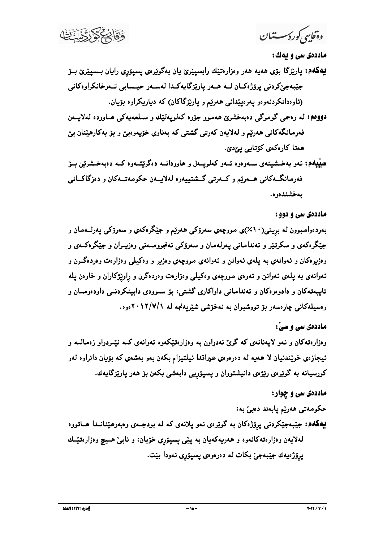$\lambda$ 

ددەي سى و يەك :

- 
- دووهم: له رەسمي گومرگي دەبەخشرىٰ ھەموو جۆرە كەلويەلپىك و سىلعەيەكى ھـاوردە لەلايــەن فهرمانگهکانی ههرتیم و لهلایهن کهرتی گشتی که بهناوی خوّیهوهبیّ و بوّ بهکارهیّنان بیّ
- و«*قالیتی کورکرسستمال*<br>هادندئی سی و یشک:<br>بهکفهم: پاریزگا بزی هامیه هار و دزاردنتی*ان ر*ابسیتری بان بهگویزهی پسیونوی رایان بسمیترین بـ نو<br>(نیادوکارد) بزی هامیه هار و دزاردنتیان رابسیتری بان بهگویزهی پسیونوی رایان بسمیترین

### اددەى سى و دوو :

**لِهکام: ب**اریزگا برّی هم*یه همد* و دزارهتنِك رابسپیّریّ یان بهگریّرهی پسپتزیی رایان بسیپیّریّ بــز<br>قووهم: له ردسی گرمرگی دیروْدکـان لــه هــدر پاریّزگـایـدَلــا لـهـــدو جـیـــدایـی تــدرخانگـراوه تـاویـن<br>فـوهوه: له ردسی فدرهانگدکانی هدریم و ایلان بودن به این این کردنی گشتی که بخاری طویه ویین و بود به کارهیتان بری<br>همایشگاه : ندر استفیندی سربره در این کارتری کنید و این در این در این در این این در این این در این این این این<br>همایش به دوره اس جیگردگان و نمکرتیز و تختامانانی پهارله مان و سعرزگان تهاجرو مـــانی و رزیـــان و جیگردگـــان و در تصوره گـــان<br>و در ایر دکان و تــدراندی به پـلدی تــدران و تــدراندی مــورچـه و روز بــ و رود دکیـلی و دواردت و دوده گــرن و

## اددهی سی و سیّ :

هادددی سی و سی :<br>و مزارهتهکان و ثمر لایمنانهی که گری نهدراون به و دزارهتیکموه ثموانهی کـه نیّــردراو زهمالــه و<br>نیجازهی خویّـندنیان لا همیه له دهرهوی عبراقدا نیلتیزام بکن بهو بعشدی که بیّـیان دانراوه لمو<br>هکدهای سی هو چهاو

### ماددهی سی و چوار: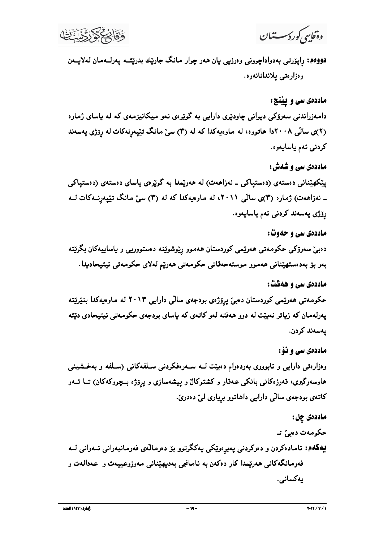وەقايىي كورد سىستىان

دووهم: رِاپۆرتى بەدواداچوونى وەرزىيى يان ھەر چوار مانگ جارێك بدرێتــه پەرلــەمان لەلايــەن وەزارەتى يلاندانانەوە.

ماددهی سی و پیننج: دامهزراندنی سهرۆکی دیوانی چاودێری دارایی به گوێرهی ئهو میکانیزمهی که له پاسای ژماره (۲)ی سالْمی ۲۰۰۸دا هاتووه، له ماوهیهکدا که له (۳) سیّ مانگ تیّیهرنهکات له روّژی یهسهند كردنى ئەم ياسايەوە.

ماددهي سي و شهش : یینکهیننانی دهستهی (دهستپاکی ــ نهزاههت) له ههریمدا به گویرهی یاسای دهستهی (دهستپاکی ــ نەزاھەت) ژمارە (٣)ى سالْمى ٢٠١١، لە ماوەيەكدا كە لە (٣) سىّ مانگ تێيەرنــەكات لــە رۆژى پەسەند كردنى ئەم ياسايەوە.

ماددهي سي و حدوت:

دەبىن سەرۆكى حكومەتىي ھەرپىمى كوردستان ھەموو رېوشوپنىه دەستوورىيى و ياساييەكان بگرېتتە بەر بۆ بەدەستھێنانى ھەموو موستەحەقاتى حكومەتى ھەرێم لەلاي حكومەتى ئيتيحاديدا.

ماددهی سی و ههشت:

حکومهتی ههریمی کوردستان دهبیّ پرِۆژەی بودجهی سالّی دارایی ۲۰۱۳ له ماوەیەکدا بنیریّته پهرلهمان که زیاتر نهبیّت له دوو ههفته لهو کاتهی که پاسای بودجهی حکومهتی ئیتیحادی دیّته يەسەند كردن.

ماددهي سي و نوْ:

وهزارهتی دارایی و نابووری بهردهوام دهبینت لــه ســهرهفکردنی ســلفهکانی (ســلفه و بهخـشینـی هاوسهرگیری، قمرزهکانی بانکی عـهقار و کشتوکال و پیشهسازی و پرۆژه بــچووکهکان) تــا ئــهو کاتمي بودجمي سالي دارايي داهاتوو برياري ليّ دهدريّ.

ماددەى چل : حکومەت دەبىز نە پهکهم: ئامادهکردن و دهرکردنی پهپرهویکی پهکگرتوو بۆ دهرمالهی فهرمانبهرانی ئــهوانی لــه فەرمانگەكانى ھەرپىمدا كار دەكەن بە ئامانجى بەدىيھيننانى مەوزوعييەت و عەدالەت و يەكسانى.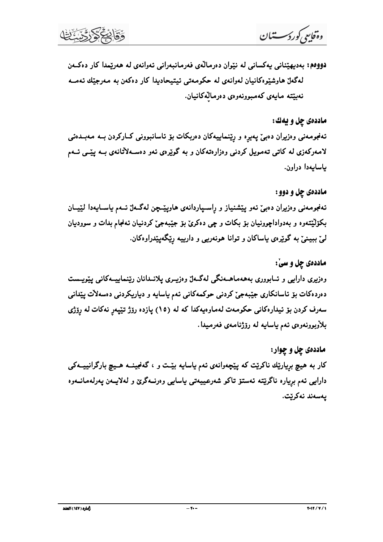$\lambda$ 

وء**َثا** *إنتح أو رك<sup>س</sup>تـــــــّـا ل***ن**<br>فـــووهم: بــديـهيتــنـلن يـــدكســـانى لــد نــتـوان ده.رمالــدى فــرهــانــوانـــنـــوانــدى فـــدة كــز ده<br>الدقاع السابقان المستقومات السابقان لــد السابقان المستقومات السابقان الـ

دی چل و یهګ:

## ه چل و دوو :

ودقایی وروکستمان<br>1999م: بهدیهپّنانی یهکسانی له نیّزان دورمالدی فهرمانبهرانی نمواندی له همزینما کار دهکست<br>اماددوی چل و یهای:<br>نمودکانی له کاتی تممبور کردنی دورارهتمکانیان.<br>1942 تهرینی و دوران دهبیّ کهمبورنمو بی دورمالهکانیا

هادددي چل و يفاتئ:<br>ته فبرمه نمى و دايران د«بئ په پرد و ريتنماييم كان ده ريكات بتر تاسانبورنمى كـاركردن بـه مه پيشـى نـهم<br>كـاددي كـاد ) و دور به دواد ) جروريان بتر بكات و چى دكرى با توجيد بن ته ده دايست و باسمايددا لنيسان<br> هۍ چل و سي: ماددهئ چل و دوو :<br>تەفېرمەنى رەزيران دەبئ تيغر پيشمنياز ر بالسيارداندى هو دركايت برنگدينداران ن تيماييسكانى بينورسست<br>ز بارتين كار بار ايران د ايران بارتي كار ايران د ايران د ايران د ايران د ايران د ايران د ايران د ايران د

ماددهی چل و چوار: دروردی «اربهی و تسبیروری بستهمستندهی مسند، واربیوری پارسنده از این بیسه سامی پیویست<br>دورددکات بز ناسانکاری جینبدجیّ کردنی حوکمهکانی نام باسایه و دیاریکردنی دوسهلآت بینانی<br>معاددهیّ کون بز نیداردکانی حکومهت لهماوهبهکدا که له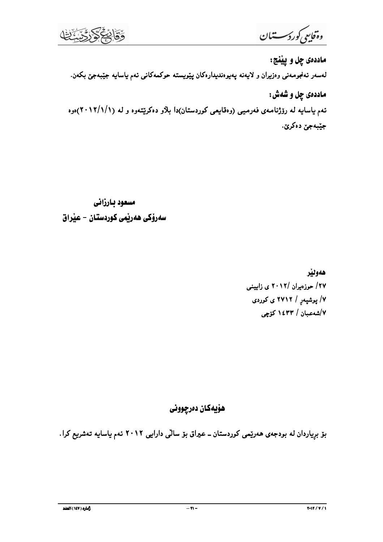دَقَابِحَ دَدْدَ

وةفاييج كوردسستنان

ماددهي چل و پيٽنج: لەسەر ئەنجومەنىي وەزىران و لايەنە پەيوەندىيدارەكان پێويستە حوكمەكانىي ئەم ياسايە جێبەجێ بكەن. ماددهي چل و شُهش : تهم یاسایه له رۆژنامهی فهرمیی (وهقایعی کوردستان)دا بلاّو دهکریّتهوه و له (۱۲/۱/۱/۱)هوه جێؠەجىٰ دەكرێ.

مسعود بارزاني سەرۆكى ھەرپمى كوردستان – عيراق

> هەوللا ۲۷/ حوزهیران /۲۰۱۲ ی زایینی ۷/ یوشیهر / ۲۷۱۲ ی کوردی ۷/شەعبان / ۱٤۳۳ كۆچى

هۆيەكان دەرچوونى

بۆ بړیاردان له بودجهی ههرێمی کوردستان ــ عیراق بۆ سالی دارایی ۲۰۱۲ نهم یاسایه تهشریع کرا.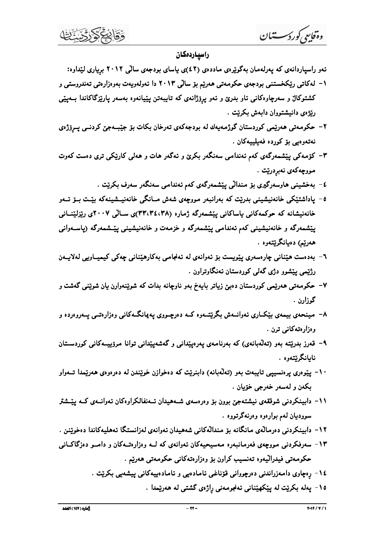وەقايىي كوردىسىتىان

#### راسياردەكان

- ئەو راسياردانەي كە يەرلەمان بەگويرەي ماددەي (٤٢)ى ياساي بودجەي سالى ٢٠١٢ بريارى ليْداوە:
- ۱– لهکاتی ریکخستنی بودجهی حکومهتی ههریم بۆ سالی ۲۰۱۳ دا ئهولهویهت بهوهزارهتی تهندروستی و کشتوکال و سهرچاوهکانی ناو بدرێ و نهو پرۆژانهی که تایبهتن پێیانهوه بهسهر پارێزگاکاندا بــهیێی ريژهي دانيشتووان دابهش بكريت .
- ۲- حکومەتى ھەرێمى کوردستان گوژمەيەك لە بودجەکەي تەرخان بکات بۆ جێبــەجێ کردنــى پــږِۆژەي نەتەرەبى بۆ كوردە فەيليپەكان .
- ۳- کۆمەکى پێشمەرگەى کەم ئەندامى سەنگەر بکرێ و ئەگەر ھات و ھەلى کارێکى ترى دەست کەوت مووچەكەي نەبردرێت .
	- ٤- بەخشینی هاوسەرگیری بۆ مندالْی پی٘شمەرگەی کەم ئەندامی سەنگەر سەرف بکری٘ت .
- ٥- ياداشتێکي خانەنيشيني بدرێت که بەرانبەر مورچەي شەش مــانگي خانەنيــشينەکە بێـت بــۆ ئــەو خانەنىشانە كە حوكمەكانى ياساكانى يېتشمەرگە ژمارە (٣٣،٣٤،٣٨)ى ســالى ٢٠٠٧ى رېزلېينــانى پیشمهرگه و خانهنیشینی کهم نهندامی پیشمهرگه و خزمهت و خانهنیشینی پیسشمهرگه (پاســهوانی همرييم) دەيانگرېيتەوە .
- ٦- بەدەست ھێنانى چارەسەرى يێويست بۆ ئەوانەي لە ئەنجامى بەكارھێنانى چەكى كيميــاويى لەلايــەن رژنیمي بیشوو دژې گهلې کوردستان ئهنگاوتراون .
- ۷– حکومهتی ههریمی کوردستان دهبین زیاتر بایهخ بهو ناوچانه بدات که شویننهوارن یان شوینمی گهشت و گوزارن .
- ۸– مینحهی بیمهی بیکاری نهوانــهش بگریتــهوه کــه دهرچــووی پـهیمانگــهکانی وهزارهتــی پــهروهرده و وەزارەتەكانى ترن .
- ۹– قەرز بدریتته بەو (تەلّەبانەی) كە بەرنامەی يەرەيپندانى و گەشەيپندانى توانا مرۆپيــەكانى كوردســتان نايانگرنتەوە .
- ۱۰ پێوەرى پرەنسييى تايبەت بەو (تەلّەبانە) دابنرێت كە دەخوازن خوێندن لە دەرەوەي ھەرێمدا تــەواو بکەن و لەسەر خەرجى خۆيان .
- ۱۱– دابینکردنی شوققهی نیشتهجیْ بوون بوْ وەرەسەی شــهھیدان ئــهنفالکراوەکان ئـهوانــهی کــه ییپّــشتر سووديان لهم بوارهوه وهرنهگرتووه .
- ۱۲- دابینکردنی دەرمالەی مانگانە بۆ مندالەکانی شەھیدان ئەوانەی لەزانستگا ئەھلیەکاندا دەخويىنن .
- ۱۳ سەرفکردنى مووچەي فەرمانبەرە مەسيحيەكان ئەوانەي كە لــە وەزارەتــەكان و دامــو دەزگاكــانى حکومەتى فيدراليەوە تەنسىب كراون بۆ وەزارەتەكانى حکومەتى ھەرپىم .
	- ١٤- رەچاوى دامەزراندنى دەرچووانى قۆناغى ئامادەيى و ئامادەييەكانى ييشەيى بكريت .
		- ۱۵- پەلە بكريت لە پيكھينانى ئەنجومەنى راژەى گشتى لە ھەريمدا .